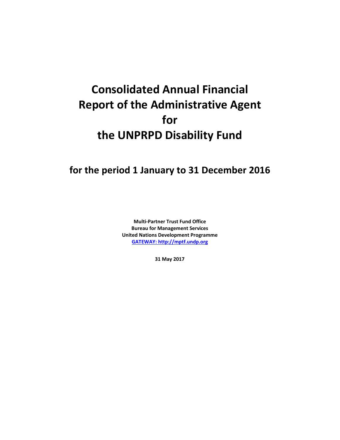# **Consolidated Annual Financial Report of the Administrative Agent for the UNPRPD Disability Fund**

## **for the period 1 January to 31 December 2016**

**Multi-Partner Trust Fund Office Bureau for Management Services United Nations Development Programme [GATEWAY: http://mptf.undp.org](http://mptf.undp.org/)**

**31 May 2017**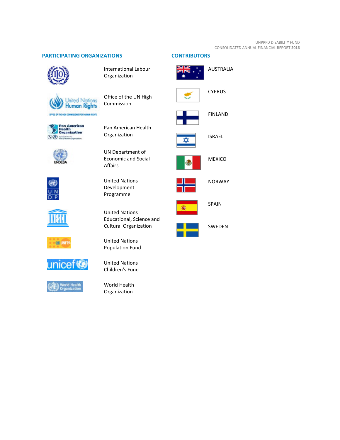#### UNPRPD DISABILITY FUND CONSOLIDATED ANNUAL FINANCIAL REPORT **2016**

#### **PARTICIPATING ORGANIZATIONS CONTRIBUTORS**



International Labour Organization

Office of the UN High

Commission





**UNDESA** 













Pan American Health Organization

UN Department of Economic and Social Affairs

United Nations Development Programme

United Nations Educational, Science and Cultural Organization

United Nations Population Fund



World Health Organization



AUSTRALIA





CYPRUS



FINLAND



ISRAEL



MEXICO



NORWAY



SPAIN



SWEDEN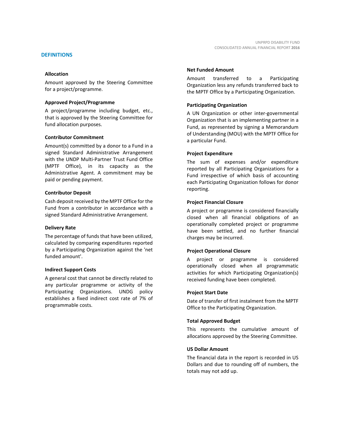Amount approved by the Steering Committee for a project/programme.

#### **Approved Project/Programme**

A project/programme including budget, etc., that is approved by the Steering Committee for fund allocation purposes.

#### **Contributor Commitment**

Amount(s) committed by a donor to a Fund in a signed Standard Administrative Arrangement with the UNDP Multi-Partner Trust Fund Office (MPTF Office), in its capacity as the Administrative Agent. A commitment may be paid or pending payment.

#### **Contributor Deposit**

Cash deposit received by the MPTF Office for the Fund from a contributor in accordance with a signed Standard Administrative Arrangement.

#### **Delivery Rate**

The percentage of funds that have been utilized, calculated by comparing expenditures reported by a Participating Organization against the 'net funded amount'.

#### **Indirect Support Costs**

A general cost that cannot be directly related to any particular programme or activity of the Participating Organizations. UNDG policy establishes a fixed indirect cost rate of 7% of programmable costs.

#### **Net Funded Amount**

Amount transferred to a Participating Organization less any refunds transferred back to the MPTF Office by a Participating Organization.

#### **Participating Organization**

A UN Organization or other inter-governmental Organization that is an implementing partner in a Fund, as represented by signing a Memorandum of Understanding (MOU) with the MPTF Office for a particular Fund.

#### **Project Expenditure**

The sum of expenses and/or expenditure reported by all Participating Organizations for a Fund irrespective of which basis of accounting each Participating Organization follows for donor reporting.

#### **Project Financial Closure**

A project or programme is considered financially closed when all financial obligations of an operationally completed project or programme have been settled, and no further financial charges may be incurred.

#### **Project Operational Closure**

A project or programme is considered operationally closed when all programmatic activities for which Participating Organization(s) received funding have been completed.

#### **Project Start Date**

Date of transfer of first instalment from the MPTF Office to the Participating Organization.

#### **Total Approved Budget**

This represents the cumulative amount of allocations approved by the Steering Committee.

#### **US Dollar Amount**

The financial data in the report is recorded in US Dollars and due to rounding off of numbers, the totals may not add up.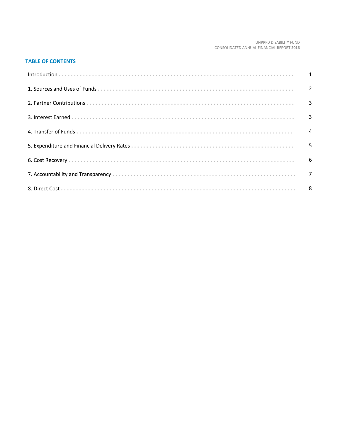#### UNPRPD DISABILITY FUND CONSOLIDATED ANNUAL FINANCIAL REPORT 2016

#### **TABLE OF CONTENTS**

| Introduction 1 1 |  |
|------------------|--|
|                  |  |
|                  |  |
|                  |  |
|                  |  |
|                  |  |
|                  |  |
|                  |  |
|                  |  |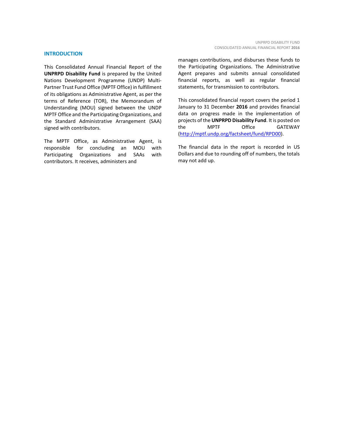#### **INTRODUCTION**

This Consolidated Annual Financial Report of the **UNPRPD Disability Fund** is prepared by the United Nations Development Programme (UNDP) Multi-Partner Trust Fund Office (MPTF Office) in fulfillment of its obligations as Administrative Agent, as per the terms of Reference (TOR), the Memorandum of Understanding (MOU) signed between the UNDP MPTF Office and the Participating Organizations, and the Standard Administrative Arrangement (SAA) signed with contributors.

The MPTF Office, as Administrative Agent, is responsible for concluding an MOU with Participating Organizations and SAAs with contributors. It receives, administers and

manages contributions, and disburses these funds to the Participating Organizations. The Administrative Agent prepares and submits annual consolidated financial reports, as well as regular financial statements, for transmission to contributors.

This consolidated financial report covers the period 1 January to 31 December **2016** and provides financial data on progress made in the implementation of projects of the **UNPRPD Disability Fund**. It is posted on the MPTF Office GATEWAY [\(http://mptf.undp.org/factsheet/fund/RPD00\)](http://mptf.undp.org/factsheet/fund/RPD00).

The financial data in the report is recorded in US Dollars and due to rounding off of numbers, the totals may not add up.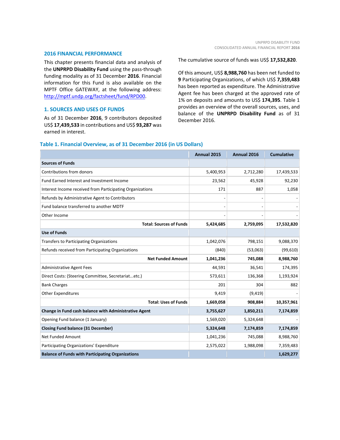#### **2016 FINANCIAL PERFORMANCE**

This chapter presents financial data and analysis of the **UNPRPD Disability Fund** using the pass-through funding modality as of 31 December **2016**. Financial information for this Fund is also available on the MPTF Office GATEWAY, at the following address: [http://mptf.undp.org/factsheet/fund/RPD00.](http://mptf.undp.org/factsheet/fund/RPD00) 

#### **1. SOURCES AND USES OF FUNDS**

As of 31 December **2016**, 9 contributors deposited US\$ **17,439,533** in contributions and US\$ **93,287** was earned in interest.

The cumulative source of funds was US\$ **17,532,820**.

Of this amount, US\$ **8,988,760** has been net funded to **9** Participating Organizations, of which US\$ **7,359,483** has been reported as expenditure. The Administrative Agent fee has been charged at the approved rate of 1% on deposits and amounts to US\$ **174,395**. Table 1 provides an overview of the overall sources, uses, and balance of the **UNPRPD Disability Fund** as of 31 December 2016.

#### **Table 1. Financial Overview, as of 31 December 2016 (in US Dollars)**

|                                                           | Annual 2015 | Annual 2016 | <b>Cumulative</b> |
|-----------------------------------------------------------|-------------|-------------|-------------------|
| <b>Sources of Funds</b>                                   |             |             |                   |
| Contributions from donors                                 | 5,400,953   | 2,712,280   | 17,439,533        |
| Fund Earned Interest and Investment Income                | 23,562      | 45,928      | 92,230            |
| Interest Income received from Participating Organizations | 171         | 887         | 1,058             |
| Refunds by Administrative Agent to Contributors           |             |             |                   |
| Fund balance transferred to another MDTF                  |             |             |                   |
| Other Income                                              |             |             |                   |
| <b>Total: Sources of Funds</b>                            | 5,424,685   | 2,759,095   | 17,532,820        |
| <b>Use of Funds</b>                                       |             |             |                   |
| <b>Transfers to Participating Organizations</b>           | 1,042,076   | 798,151     | 9,088,370         |
| Refunds received from Participating Organizations         | (840)       | (53,063)    | (99, 610)         |
| <b>Net Funded Amount</b>                                  | 1,041,236   | 745,088     | 8,988,760         |
| <b>Administrative Agent Fees</b>                          | 44,591      | 36,541      | 174,395           |
| Direct Costs: (Steering Committee, Secretariatetc.)       | 573,611     | 136,368     | 1,193,924         |
| <b>Bank Charges</b>                                       | 201         | 304         | 882               |
| <b>Other Expenditures</b>                                 | 9,419       | (9, 419)    |                   |
| <b>Total: Uses of Funds</b>                               | 1,669,058   | 908,884     | 10,357,961        |
| Change in Fund cash balance with Administrative Agent     | 3,755,627   | 1,850,211   | 7,174,859         |
| Opening Fund balance (1 January)                          | 1,569,020   | 5,324,648   |                   |
| <b>Closing Fund balance (31 December)</b>                 | 5,324,648   | 7,174,859   | 7,174,859         |
| Net Funded Amount                                         | 1,041,236   | 745,088     | 8,988,760         |
| Participating Organizations' Expenditure                  | 2,575,022   | 1,988,098   | 7,359,483         |
| <b>Balance of Funds with Participating Organizations</b>  |             |             | 1,629,277         |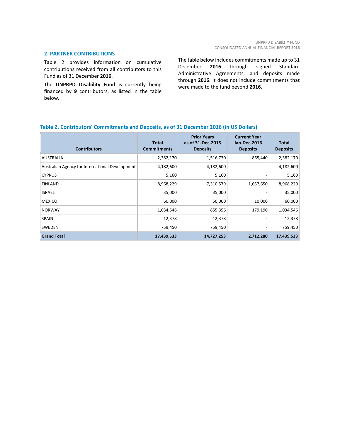#### **2. PARTNER CONTRIBUTIONS**

Table 2 provides information on cumulative contributions received from all contributors to this Fund as of 31 December **2016**.

The **UNPRPD Disability Fund** is currently being financed by **9** contributors, as listed in the table below.

The table below includes commitments made up to 31 December **2016** through signed Standard Administrative Agreements, and deposits made through **2016**. It does not include commitments that were made to the fund beyond **2016**.

#### **Table 2. Contributors' Commitments and Deposits, as of 31 December 2016 (in US Dollars)**

| <b>Contributors</b>                             | <b>Total</b><br><b>Commitments</b> | <b>Prior Years</b><br>as of 31-Dec-2015<br><b>Deposits</b> | <b>Current Year</b><br><b>Jan-Dec-2016</b><br><b>Deposits</b> | <b>Total</b><br><b>Deposits</b> |
|-------------------------------------------------|------------------------------------|------------------------------------------------------------|---------------------------------------------------------------|---------------------------------|
| <b>AUSTRALIA</b>                                | 2,382,170                          | 1,516,730                                                  | 865,440                                                       | 2,382,170                       |
| Australian Agency for International Development | 4,182,600                          | 4,182,600                                                  |                                                               | 4,182,600                       |
| <b>CYPRUS</b>                                   | 5,160                              | 5,160                                                      |                                                               | 5,160                           |
| <b>FINLAND</b>                                  | 8,968,229                          | 7,310,579                                                  | 1,657,650                                                     | 8,968,229                       |
| <b>ISRAEL</b>                                   | 35,000                             | 35,000                                                     |                                                               | 35,000                          |
| <b>MEXICO</b>                                   | 60,000                             | 50,000                                                     | 10,000                                                        | 60,000                          |
| <b>NORWAY</b>                                   | 1,034,546                          | 855,356                                                    | 179,190                                                       | 1,034,546                       |
| <b>SPAIN</b>                                    | 12,378                             | 12,378                                                     |                                                               | 12,378                          |
| SWEDEN                                          | 759,450                            | 759,450                                                    |                                                               | 759,450                         |
| <b>Grand Total</b>                              | 17,439,533                         | 14,727,253                                                 | 2,712,280                                                     | 17,439,533                      |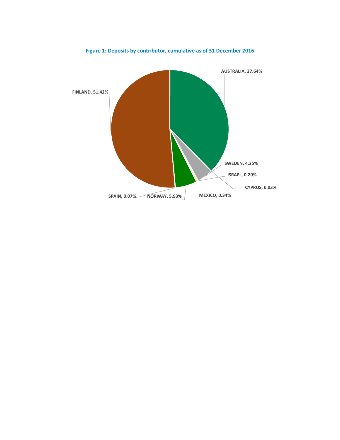

**Figure 1: Deposits by contributor, cumulative as of 31 December 2016**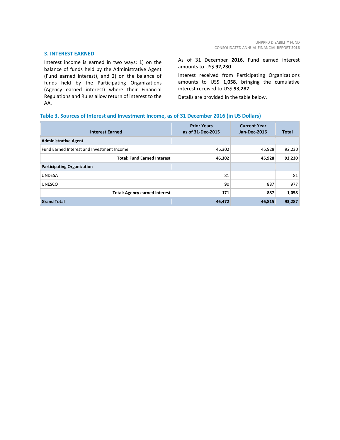#### **3. INTEREST EARNED**

Interest income is earned in two ways: 1) on the balance of funds held by the Administrative Agent (Fund earned interest), and 2) on the balance of funds held by the Participating Organizations (Agency earned interest) where their Financial Regulations and Rules allow return of interest to the AA.

As of 31 December **2016**, Fund earned interest amounts to US\$ **92,230**.

Interest received from Participating Organizations amounts to US\$ **1,058**, bringing the cumulative interest received to US\$ **93,287**.

Details are provided in the table below.

#### **Table 3. Sources of Interest and Investment Income, as of 31 December 2016 (in US Dollars)**

| <b>Interest Earned</b>                     | <b>Prior Years</b><br>as of 31-Dec-2015 | <b>Current Year</b><br>Jan-Dec-2016 | <b>Total</b> |
|--------------------------------------------|-----------------------------------------|-------------------------------------|--------------|
| <b>Administrative Agent</b>                |                                         |                                     |              |
| Fund Earned Interest and Investment Income | 46,302                                  | 45,928                              | 92,230       |
| <b>Total: Fund Earned Interest</b>         | 46,302                                  | 45,928                              | 92,230       |
| <b>Participating Organization</b>          |                                         |                                     |              |
| <b>UNDESA</b>                              | 81                                      |                                     | 81           |
| <b>UNESCO</b>                              | 90                                      | 887                                 | 977          |
| <b>Total: Agency earned interest</b>       | 171                                     | 887                                 | 1,058        |
| <b>Grand Total</b>                         | 46,472                                  | 46,815                              | 93,287       |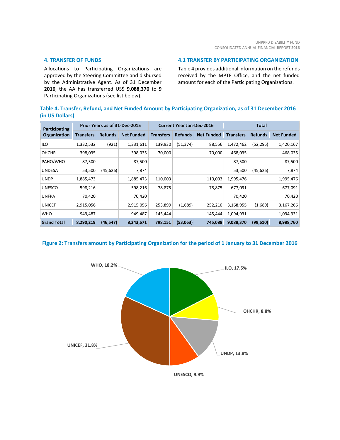#### **4. TRANSFER OF FUNDS**

Allocations to Participating Organizations are approved by the Steering Committee and disbursed by the Administrative Agent. As of 31 December **2016**, the AA has transferred US\$ **9,088,370** to **9** Participating Organizations (see list below).

#### **4.1 TRANSFER BY PARTICIPATING ORGANIZATION**

Table 4 provides additional information on the refunds received by the MPTF Office, and the net funded amount for each of the Participating Organizations.

#### **Table 4. Transfer, Refund, and Net Funded Amount by Participating Organization, as of 31 December 2016 (in US Dollars)**

| Participating      |                  | Prior Years as of 31-Dec-2015 |                   |                  | <b>Current Year Jan-Dec-2016</b> |                   |                  | Total          |                   |
|--------------------|------------------|-------------------------------|-------------------|------------------|----------------------------------|-------------------|------------------|----------------|-------------------|
| Organization       | <b>Transfers</b> | <b>Refunds</b>                | <b>Net Funded</b> | <b>Transfers</b> | <b>Refunds</b>                   | <b>Net Funded</b> | <b>Transfers</b> | <b>Refunds</b> | <b>Net Funded</b> |
| ILO                | 1,332,532        | (921)                         | 1,331,611         | 139,930          | (51, 374)                        | 88,556            | 1,472,462        | (52, 295)      | 1,420,167         |
| <b>OHCHR</b>       | 398,035          |                               | 398,035           | 70,000           |                                  | 70,000            | 468,035          |                | 468,035           |
| PAHO/WHO           | 87,500           |                               | 87,500            |                  |                                  |                   | 87,500           |                | 87,500            |
| <b>UNDESA</b>      | 53,500           | (45, 626)                     | 7,874             |                  |                                  |                   | 53,500           | (45, 626)      | 7,874             |
| <b>UNDP</b>        | 1,885,473        |                               | 1,885,473         | 110,003          |                                  | 110,003           | 1,995,476        |                | 1,995,476         |
| <b>UNESCO</b>      | 598,216          |                               | 598,216           | 78,875           |                                  | 78,875            | 677,091          |                | 677,091           |
| <b>UNFPA</b>       | 70,420           |                               | 70,420            |                  |                                  |                   | 70,420           |                | 70,420            |
| <b>UNICEF</b>      | 2,915,056        |                               | 2,915,056         | 253,899          | (1,689)                          | 252,210           | 3,168,955        | (1,689)        | 3,167,266         |
| <b>WHO</b>         | 949,487          |                               | 949,487           | 145,444          |                                  | 145,444           | 1,094,931        |                | 1,094,931         |
| <b>Grand Total</b> | 8,290,219        | (46, 547)                     | 8,243,671         | 798,151          | (53,063)                         | 745,088           | 9,088,370        | (99, 610)      | 8,988,760         |

#### **Figure 2: Transfers amount by Participating Organization for the period of 1 January to 31 December 2016**

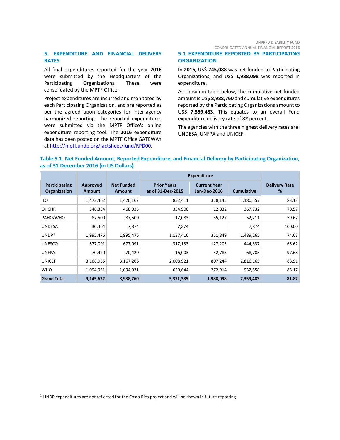UNPRPD DISABILITY FUND CONSOLIDATED ANNUAL FINANCIAL REPORT **2016**

#### **5. EXPENDITURE AND FINANCIAL DELIVERY RATES**

All final expenditures reported for the year **2016** were submitted by the Headquarters of the Participating Organizations. These were consolidated by the MPTF Office.

Project expenditures are incurred and monitored by each Participating Organization, and are reported as per the agreed upon categories for inter-agency harmonized reporting. The reported expenditures were submitted via the MPTF Office's online expenditure reporting tool. The **2016** expenditure data has been posted on the MPTF Office GATEWAY at [http://mptf.undp.org/factsheet/fund/RPD00.](http://mptf.undp.org/factsheet/fund/RPD00)

#### **5.1 EXPENDITURE REPORTED BY PARTICIPATING ORGANIZATION**

In **2016**, US\$ **745,088** was net funded to Participating Organizations, and US\$ **1,988,098** was reported in expenditure.

As shown in table below, the cumulative net funded amount is US\$ **8,988,760** and cumulative expenditures reported by the Participating Organizations amount to US\$ **7,359,483**. This equates to an overall Fund expenditure delivery rate of **82** percent.

The agencies with the three highest delivery rates are: UNDESA, UNFPA and UNICEF.

#### **Table 5.1. Net Funded Amount, Reported Expenditure, and Financial Delivery by Participating Organization, as of 31 December 2016 (in US Dollars)**

|                               |                           |                             | <b>Expenditure</b>                      |                                     |                   |                           |
|-------------------------------|---------------------------|-----------------------------|-----------------------------------------|-------------------------------------|-------------------|---------------------------|
| Participating<br>Organization | Approved<br><b>Amount</b> | <b>Net Funded</b><br>Amount | <b>Prior Years</b><br>as of 31-Dec-2015 | <b>Current Year</b><br>Jan-Dec-2016 | <b>Cumulative</b> | <b>Delivery Rate</b><br>% |
| ILO                           | 1,472,462                 | 1,420,167                   | 852,411                                 | 328,145                             | 1,180,557         | 83.13                     |
| <b>OHCHR</b>                  | 548,334                   | 468,035                     | 354,900                                 | 12,832                              | 367,732           | 78.57                     |
| PAHO/WHO                      | 87,500                    | 87,500                      | 17,083                                  | 35,127                              | 52,211            | 59.67                     |
| <b>UNDESA</b>                 | 30,464                    | 7,874                       | 7,874                                   |                                     | 7,874             | 100.00                    |
| UNDP <sup>1</sup>             | 1,995,476                 | 1,995,476                   | 1,137,416                               | 351,849                             | 1,489,265         | 74.63                     |
| <b>UNESCO</b>                 | 677,091                   | 677,091                     | 317,133                                 | 127,203                             | 444,337           | 65.62                     |
| <b>UNFPA</b>                  | 70,420                    | 70,420                      | 16,003                                  | 52,783                              | 68,785            | 97.68                     |
| <b>UNICEF</b>                 | 3,168,955                 | 3,167,266                   | 2,008,921                               | 807,244                             | 2,816,165         | 88.91                     |
| <b>WHO</b>                    | 1,094,931                 | 1,094,931                   | 659,644                                 | 272,914                             | 932,558           | 85.17                     |
| <b>Grand Total</b>            | 9,145,632                 | 8,988,760                   | 5,371,385                               | 1,988,098                           | 7,359,483         | 81.87                     |

<span id="page-10-0"></span> $<sup>1</sup>$  UNDP expenditures are not reflected for the Costa Rica project and will be shown in future reporting.</sup>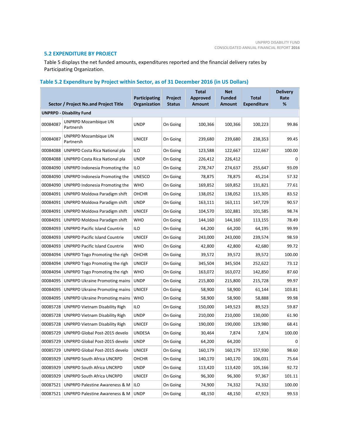#### **5.2 EXPENDITURE BY PROJECT**

Table 5 displays the net funded amounts, expenditures reported and the financial delivery rates by Participating Organization.

### **Table 5.2 Expenditure by Project within Sector, as of 31 December 2016 (in US Dollars)**

|          | Sector / Project No.and Project Title     | Participating<br>Organization | Project<br><b>Status</b> | <b>Total</b><br><b>Approved</b><br><b>Amount</b> | <b>Net</b><br><b>Funded</b><br><b>Amount</b> | <b>Total</b><br><b>Expenditure</b> | <b>Delivery</b><br>Rate<br>% |
|----------|-------------------------------------------|-------------------------------|--------------------------|--------------------------------------------------|----------------------------------------------|------------------------------------|------------------------------|
|          | <b>UNPRPD - Disability Fund</b>           |                               |                          |                                                  |                                              |                                    |                              |
| 00084087 | <b>UNPRPD Mozambique UN</b><br>Partnersh  | <b>UNDP</b>                   | On Going                 | 100,366                                          | 100,366                                      | 100,223                            | 99.86                        |
| 00084087 | <b>UNPRPD Mozambique UN</b><br>Partnersh  | <b>UNICEF</b>                 | On Going                 | 239,680                                          | 239,680                                      | 238,353                            | 99.45                        |
| 00084088 | UNPRPD Costa Rica National pla            | <b>ILO</b>                    | On Going                 | 123,588                                          | 122,667                                      | 122,667                            | 100.00                       |
| 00084088 | UNPRPD Costa Rica National pla            | <b>UNDP</b>                   | On Going                 | 226,412                                          | 226,412                                      |                                    | 0                            |
| 00084090 | UNPRPD Indonesia Promoting the            | <b>ILO</b>                    | On Going                 | 278,747                                          | 274,637                                      | 255,647                            | 93.09                        |
| 00084090 | UNPRPD Indonesia Promoting the            | <b>UNESCO</b>                 | On Going                 | 78,875                                           | 78,875                                       | 45,214                             | 57.32                        |
| 00084090 | UNPRPD Indonesia Promoting the            | <b>WHO</b>                    | On Going                 | 169,852                                          | 169,852                                      | 131,821                            | 77.61                        |
| 00084091 | UNPRPD Moldova Paradigm shift             | OHCHR                         | On Going                 | 138,052                                          | 138,052                                      | 115,305                            | 83.52                        |
| 00084091 | UNPRPD Moldova Paradigm shift             | <b>UNDP</b>                   | On Going                 | 163,111                                          | 163,111                                      | 147,729                            | 90.57                        |
| 00084091 | UNPRPD Moldova Paradigm shift             | <b>UNICEF</b>                 | On Going                 | 104,570                                          | 102,881                                      | 101,585                            | 98.74                        |
| 00084091 | UNPRPD Moldova Paradigm shift             | <b>WHO</b>                    | On Going                 | 144,160                                          | 144,160                                      | 113,155                            | 78.49                        |
| 00084093 | <b>UNPRPD Pacific Island Countrie</b>     | ILO                           | On Going                 | 64,200                                           | 64,200                                       | 64,195                             | 99.99                        |
| 00084093 | <b>UNPRPD Pacific Island Countrie</b>     | <b>UNICEF</b>                 | On Going                 | 243,000                                          | 243,000                                      | 239,574                            | 98.59                        |
| 00084093 | <b>UNPRPD Pacific Island Countrie</b>     | <b>WHO</b>                    | On Going                 | 42,800                                           | 42,800                                       | 42,680                             | 99.72                        |
| 00084094 | UNPRPD Togo Promoting the righ            | OHCHR                         | On Going                 | 39,572                                           | 39,572                                       | 39,572                             | 100.00                       |
| 00084094 | UNPRPD Togo Promoting the righ            | <b>UNICEF</b>                 | On Going                 | 345,504                                          | 345,504                                      | 252,622                            | 73.12                        |
| 00084094 | UNPRPD Togo Promoting the righ            | <b>WHO</b>                    | On Going                 | 163,072                                          | 163,072                                      | 142,850                            | 87.60                        |
| 00084095 | <b>UNPRPD Ukraine Promoting mains</b>     | <b>UNDP</b>                   | On Going                 | 215,800                                          | 215,800                                      | 215,728                            | 99.97                        |
| 00084095 | <b>UNPRPD Ukraine Promoting mains</b>     | <b>UNICEF</b>                 | On Going                 | 58,900                                           | 58,900                                       | 61,144                             | 103.81                       |
| 00084095 | <b>UNPRPD Ukraine Promoting mains</b>     | <b>WHO</b>                    | On Going                 | 58,900                                           | 58,900                                       | 58,888                             | 99.98                        |
| 00085728 | <b>UNPRPD Vietnam Disability Righ</b>     | ILO                           | On Going                 | 150,000                                          | 149,523                                      | 89,523                             | 59.87                        |
| 00085728 | <b>UNPRPD Vietnam Disability Righ</b>     | <b>UNDP</b>                   | On Going                 | 210,000                                          | 210,000                                      | 130,000                            | 61.90                        |
| 00085728 | <b>UNPRPD Vietnam Disability Righ</b>     | UNICEF                        | On Going                 | 190,000                                          | 190,000                                      | 129,980                            | 68.41                        |
| 00085729 | UNPRPD Global Post-2015 develo            | <b>UNDESA</b>                 | On Going                 | 30,464                                           | 7,874                                        | 7,874                              | 100.00                       |
| 00085729 | UNPRPD Global Post-2015 develo            | <b>UNDP</b>                   | On Going                 | 64,200                                           | 64,200                                       |                                    | 0                            |
| 00085729 | UNPRPD Global Post-2015 develo            | <b>UNICEF</b>                 | On Going                 | 160,179                                          | 160,179                                      | 157,930                            | 98.60                        |
| 00085929 | <b>UNPRPD South Africa UNCRPD</b>         | OHCHR                         | On Going                 | 140,170                                          | 140,170                                      | 106,031                            | 75.64                        |
| 00085929 | UNPRPD South Africa UNCRPD                | <b>UNDP</b>                   | On Going                 | 113,420                                          | 113,420                                      | 105,166                            | 92.72                        |
| 00085929 | <b>UNPRPD South Africa UNCRPD</b>         | <b>UNICEF</b>                 | On Going                 | 96,300                                           | 96,300                                       | 97,367                             | 101.11                       |
| 00087521 | UNPRPD Palestine Awareness & M            | ILO                           | On Going                 | 74,900                                           | 74,332                                       | 74,332                             | 100.00                       |
| 00087521 | <b>UNPRPD Palestine Awareness &amp; M</b> | <b>UNDP</b>                   | On Going                 | 48,150                                           | 48,150                                       | 47,923                             | 99.53                        |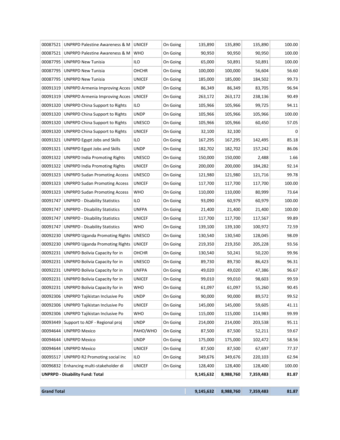|          | 00087521   UNPRPD Palestine Awareness & M | <b>UNICEF</b> | On Going | 135,890   | 135,890   | 135,890   | 100.00 |
|----------|-------------------------------------------|---------------|----------|-----------|-----------|-----------|--------|
| 00087521 | UNPRPD Palestine Awareness & M            | <b>WHO</b>    | On Going | 90,950    | 90,950    | 90,950    | 100.00 |
| 00087795 | <b>UNPRPD New Tunisia</b>                 | ilo           | On Going | 65,000    | 50,891    | 50,891    | 100.00 |
| 00087795 | <b>UNPRPD New Tunisia</b>                 | OHCHR         | On Going | 100,000   | 100,000   | 56,604    | 56.60  |
| 00087795 | <b>UNPRPD New Tunisia</b>                 | <b>UNICEF</b> | On Going | 185,000   | 185,000   | 184,502   | 99.73  |
| 00091319 | UNPRPD Armenia Improving Acces            | <b>UNDP</b>   | On Going | 86,349    | 86,349    | 83,705    | 96.94  |
| 00091319 | <b>UNPRPD Armenia Improving Acces</b>     | <b>UNICEF</b> | On Going | 263,172   | 263,172   | 238,136   | 90.49  |
| 00091320 | <b>UNPRPD China Support to Rights</b>     | ILO           | On Going | 105,966   | 105,966   | 99,725    | 94.11  |
| 00091320 | <b>UNPRPD China Support to Rights</b>     | <b>UNDP</b>   | On Going | 105,966   | 105,966   | 105,966   | 100.00 |
| 00091320 | <b>UNPRPD China Support to Rights</b>     | <b>UNESCO</b> | On Going | 105,966   | 105,966   | 60,450    | 57.05  |
| 00091320 | <b>UNPRPD China Support to Rights</b>     | <b>UNICEF</b> | On Going | 32,100    | 32,100    |           | 0      |
| 00091321 | <b>UNPRPD Egypt Jobs and Skills</b>       | ILO           | On Going | 167,295   | 167,295   | 142,495   | 85.18  |
| 00091321 | <b>UNPRPD Egypt Jobs and Skills</b>       | <b>UNDP</b>   | On Going | 182,702   | 182,702   | 157,242   | 86.06  |
| 00091322 | <b>UNPRPD India Promoting Rights</b>      | <b>UNESCO</b> | On Going | 150,000   | 150,000   | 2,488     | 1.66   |
|          | 00091322   UNPRPD India Promoting Rights  | <b>UNICEF</b> | On Going | 200,000   | 200,000   | 184,282   | 92.14  |
|          | 00091323   UNPRPD Sudan Promoting Access  | <b>UNESCO</b> | On Going | 121,980   | 121,980   | 121,716   | 99.78  |
| 00091323 | <b>UNPRPD Sudan Promoting Access</b>      | <b>UNICEF</b> | On Going | 117,700   | 117,700   | 117,700   | 100.00 |
| 00091323 | <b>UNPRPD Sudan Promoting Access</b>      | <b>WHO</b>    | On Going | 110,000   | 110,000   | 80,999    | 73.64  |
| 00091747 | <b>UNPRPD - Disability Statistics</b>     | ilo           | On Going | 93,090    | 60,979    | 60,979    | 100.00 |
| 00091747 | <b>UNPRPD - Disability Statistics</b>     | <b>UNFPA</b>  | On Going | 21,400    | 21,400    | 21,400    | 100.00 |
| 00091747 | <b>UNPRPD - Disability Statistics</b>     | <b>UNICEF</b> | On Going | 117,700   | 117,700   | 117,567   | 99.89  |
| 00091747 | <b>UNPRPD - Disability Statistics</b>     | <b>WHO</b>    | On Going | 139,100   | 139,100   | 100,972   | 72.59  |
| 00092230 | <b>UNPRPD Uganda Promoting Rights</b>     | <b>UNESCO</b> | On Going | 130,540   | 130,540   | 128,045   | 98.09  |
| 00092230 | UNPRPD Uganda Promoting Rights            | <b>UNICEF</b> | On Going | 219,350   | 219,350   | 205,228   | 93.56  |
|          | 00092231   UNPRPD Bolivia Capacity for in | OHCHR         | On Going | 130,540   | 50,241    | 50,220    | 99.96  |
|          | 00092231   UNPRPD Bolivia Capacity for in | <b>UNESCO</b> | On Going | 89,730    | 89,730    | 86,423    | 96.31  |
| 00092231 | UNPRPD Bolivia Capacity for in            | <b>UNFPA</b>  | On Going | 49,020    | 49,020    | 47,386    | 96.67  |
|          | 00092231 UNPRPD Bolivia Capacity for in   | UNICEF        | On Going | 99,010    | 99,010    | 98,603    | 99.59  |
|          | 00092231 UNPRPD Bolivia Capacity for in   | <b>WHO</b>    | On Going | 61,097    | 61,097    | 55,260    | 90.45  |
| 00092306 | UNPRPD Tajikistan Inclusive Po            | <b>UNDP</b>   | On Going | 90,000    | 90,000    | 89,572    | 99.52  |
| 00092306 | UNPRPD Tajikistan Inclusive Po            | <b>UNICEF</b> | On Going | 145,000   | 145,000   | 59,605    | 41.11  |
| 00092306 | UNPRPD Tajikistan Inclusive Po            | <b>WHO</b>    | On Going | 115,000   | 115,000   | 114,983   | 99.99  |
| 00093449 | Support to ADF - Regional proj            | <b>UNDP</b>   | On Going | 214,000   | 214,000   | 203,538   | 95.11  |
| 00094644 | <b>UNPRPD Mexico</b>                      | PAHO/WHO      | On Going | 87,500    | 87,500    | 52,211    | 59.67  |
| 00094644 | <b>UNPRPD Mexico</b>                      | <b>UNDP</b>   | On Going | 175,000   | 175,000   | 102,472   | 58.56  |
| 00094644 | <b>UNPRPD Mexico</b>                      | <b>UNICEF</b> | On Going | 87,500    | 87,500    | 67,697    | 77.37  |
| 00095517 | UNPRPD R2 Promoting social inc            | ILO           | On Going | 349,676   | 349,676   | 220,103   | 62.94  |
| 00096832 | Enhancing multi-stakeholder di            | <b>UNICEF</b> | On Going | 128,400   | 128,400   | 128,400   | 100.00 |
|          | <b>UNPRPD - Disability Fund: Total</b>    |               |          | 9,145,632 | 8,988,760 | 7,359,483 | 81.87  |

| rand Total |  |
|------------|--|
|------------|--|

**Grand Total 9,145,632 8,988,760 7,359,483 81.87**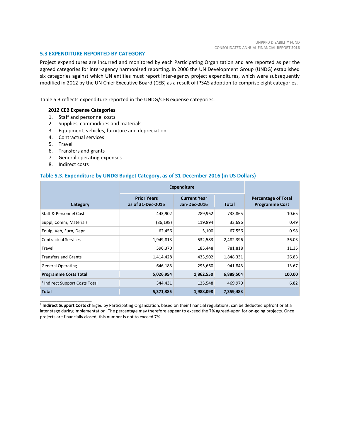#### **5.3 EXPENDITURE REPORTED BY CATEGORY**

Project expenditures are incurred and monitored by each Participating Organization and are reported as per the agreed categories for inter-agency harmonized reporting. In 2006 the UN Development Group (UNDG) established six categories against which UN entities must report inter-agency project expenditures, which were subsequently modified in 2012 by the UN Chief Executive Board (CEB) as a result of IPSAS adoption to comprise eight categories.

Table 5.3 reflects expenditure reported in the UNDG/CEB expense categories.

#### **2012 CEB Expense Categories**

- 1. Staff and personnel costs
- 2. Supplies, commodities and materials
- 3. Equipment, vehicles, furniture and depreciation
- 4. Contractual services
- 5. Travel
- 6. Transfers and grants
- 7. General operating expenses
- 8. Indirect costs

\_\_\_\_\_\_\_\_\_\_\_\_\_\_\_\_\_\_\_\_\_\_

#### **Table 5.3. Expenditure by UNDG Budget Category, as of 31 December 2016 (in US Dollars)**

|                                           | <b>Expenditure</b>                      |                                            |              |                                                     |
|-------------------------------------------|-----------------------------------------|--------------------------------------------|--------------|-----------------------------------------------------|
| Category                                  | <b>Prior Years</b><br>as of 31-Dec-2015 | <b>Current Year</b><br><b>Jan-Dec-2016</b> | <b>Total</b> | <b>Percentage of Total</b><br><b>Programme Cost</b> |
| <b>Staff &amp; Personnel Cost</b>         | 443,902                                 | 289,962                                    | 733,865      | 10.65                                               |
| Suppl, Comm, Materials                    | (86, 198)                               | 119,894                                    | 33,696       | 0.49                                                |
| Equip, Veh, Furn, Depn                    | 62,456                                  | 5,100                                      | 67,556       | 0.98                                                |
| <b>Contractual Services</b>               | 1,949,813                               | 532,583                                    | 2,482,396    | 36.03                                               |
| Travel                                    | 596,370                                 | 185,448                                    | 781,818      | 11.35                                               |
| <b>Transfers and Grants</b>               | 1,414,428                               | 433,902                                    | 1,848,331    | 26.83                                               |
| <b>General Operating</b>                  | 646,183                                 | 295,660                                    | 941,843      | 13.67                                               |
| <b>Programme Costs Total</b>              | 5,026,954                               | 1,862,550                                  | 6,889,504    | 100.00                                              |
| <sup>1</sup> Indirect Support Costs Total | 344,431                                 | 125,548                                    | 469,979      | 6.82                                                |
| <b>Total</b>                              | 5,371,385                               | 1,988,098                                  | 7,359,483    |                                                     |

**<sup>1</sup> Indirect Support Costs** charged by Participating Organization, based on their financial regulations, can be deducted upfront or at a later stage during implementation. The percentage may therefore appear to exceed the 7% agreed-upon for on-going projects. Once projects are financially closed, this number is not to exceed 7%.